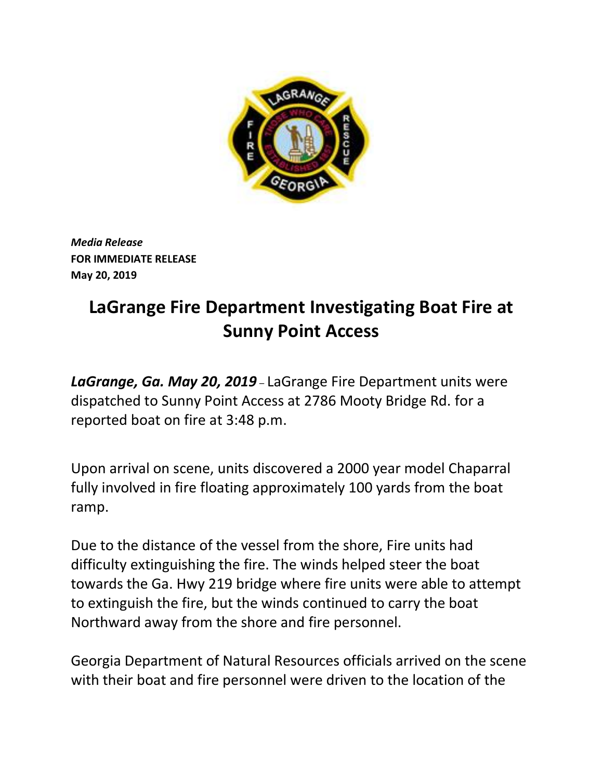

 *Media Release*   **FOR IMMEDIATE RELEASE May 20, 2019** 

## **LaGrange Fire Department Investigating Boat Fire at Sunny Point Access**

 *LaGrange, Ga. May 20, 2019* – LaGrange Fire Department units were reported boat on fire at 3:48 p.m. dispatched to Sunny Point Access at 2786 Mooty Bridge Rd. for a

Upon arrival on scene, units discovered a 2000 year model Chaparral fully involved in fire floating approximately 100 yards from the boat ramp.

 difficulty extinguishing the fire. The winds helped steer the boat to extinguish the fire, but the winds continued to carry the boat Due to the distance of the vessel from the shore, Fire units had towards the Ga. Hwy 219 bridge where fire units were able to attempt Northward away from the shore and fire personnel.

Georgia Department of Natural Resources officials arrived on the scene with their boat and fire personnel were driven to the location of the